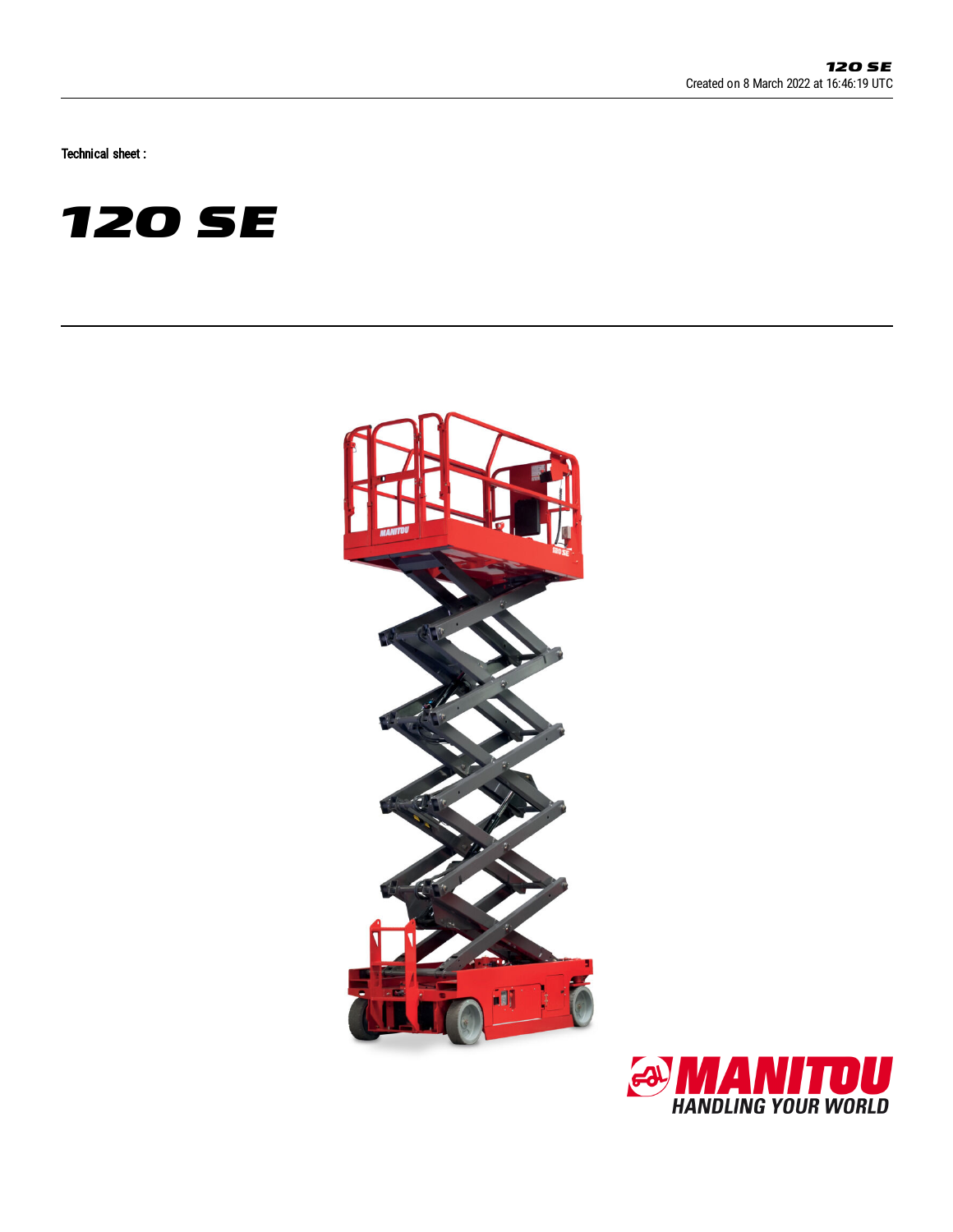Technical sheet :





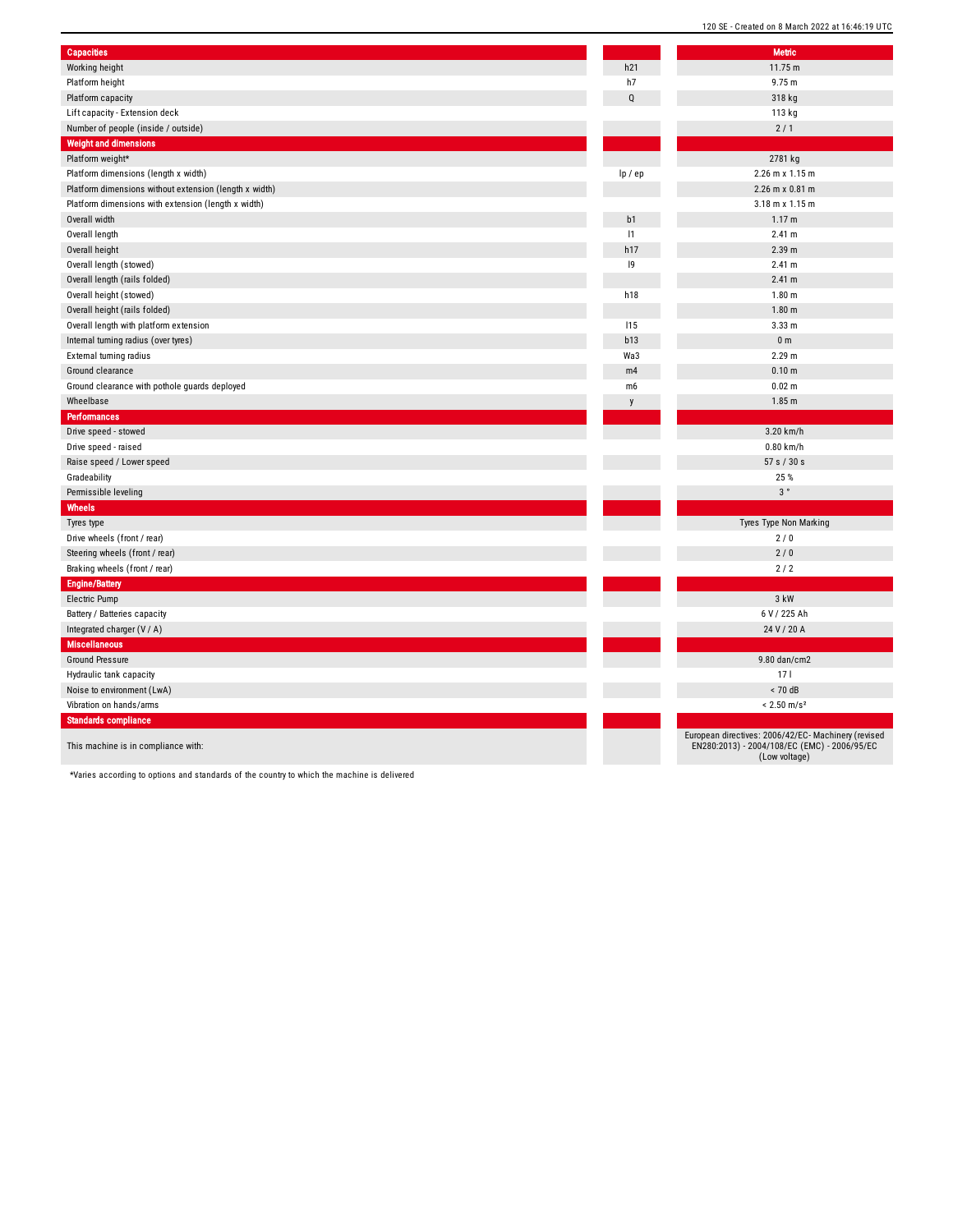| <b>Capacities</b>                                      |             | <b>Metric</b>                                                                                                        |
|--------------------------------------------------------|-------------|----------------------------------------------------------------------------------------------------------------------|
| Working height                                         | h21         | 11.75 m                                                                                                              |
| Platform height                                        | h7          | 9.75 m                                                                                                               |
| Platform capacity                                      | $\mathbf Q$ | 318 kg                                                                                                               |
| Lift capacity - Extension deck                         |             | 113 kg                                                                                                               |
| Number of people (inside / outside)                    |             | 2/1                                                                                                                  |
| <b>Weight and dimensions</b>                           |             |                                                                                                                      |
| Platform weight*                                       |             | 2781 kg                                                                                                              |
| Platform dimensions (length x width)                   | lp / ep     | 2.26 m x 1.15 m                                                                                                      |
| Platform dimensions without extension (length x width) |             | 2.26 m x 0.81 m                                                                                                      |
| Platform dimensions with extension (length x width)    |             | 3.18 m x 1.15 m                                                                                                      |
| Overall width                                          | b1          | 1.17 <sub>m</sub>                                                                                                    |
| Overall length                                         | 1           | 2.41 m                                                                                                               |
| Overall height                                         | h17         | 2.39 m                                                                                                               |
| Overall length (stowed)                                | 9           | 2.41 m                                                                                                               |
| Overall length (rails folded)                          |             | 2.41 m                                                                                                               |
| Overall height (stowed)                                | h18         | 1.80 <sub>m</sub>                                                                                                    |
| Overall height (rails folded)                          |             | 1.80 <sub>m</sub>                                                                                                    |
| Overall length with platform extension                 | 115         | 3.33 <sub>m</sub>                                                                                                    |
| Internal turning radius (over tyres)                   | b13         | 0 <sub>m</sub>                                                                                                       |
| External turning radius                                | Wa3         | 2.29 m                                                                                                               |
| Ground clearance                                       | m4          | 0.10 m                                                                                                               |
| Ground clearance with pothole guards deployed          | m6          | 0.02 m                                                                                                               |
| Wheelbase                                              |             | 1.85 <sub>m</sub>                                                                                                    |
| <b>Performances</b>                                    |             |                                                                                                                      |
| Drive speed - stowed                                   |             | 3.20 km/h                                                                                                            |
| Drive speed - raised                                   |             | $0.80$ km/h                                                                                                          |
| Raise speed / Lower speed                              |             | 57 s / 30 s                                                                                                          |
| Gradeability                                           |             | 25 %                                                                                                                 |
| Permissible leveling                                   |             | 3°                                                                                                                   |
| Wheels                                                 |             |                                                                                                                      |
| Tyres type                                             |             | Tyres Type Non Marking                                                                                               |
| Drive wheels (front / rear)                            |             | 2/0                                                                                                                  |
| Steering wheels (front / rear)                         |             | 2/0                                                                                                                  |
| Braking wheels (front / rear)                          |             | 2/2                                                                                                                  |
| <b>Engine/Battery</b>                                  |             |                                                                                                                      |
| Electric Pump                                          |             | 3 kW                                                                                                                 |
| Battery / Batteries capacity                           |             | 6 V / 225 Ah                                                                                                         |
| Integrated charger (V / A)                             |             | 24 V / 20 A                                                                                                          |
| <b>Miscellaneous</b>                                   |             |                                                                                                                      |
| Ground Pressure                                        |             | 9.80 dan/cm2                                                                                                         |
| Hydraulic tank capacity                                |             | 17 <sup>1</sup>                                                                                                      |
| Noise to environment (LwA)                             |             | < 70dB                                                                                                               |
| Vibration on hands/arms                                |             | $< 2.50$ m/s <sup>2</sup>                                                                                            |
| <b>Standards compliance</b>                            |             |                                                                                                                      |
| This machine is in compliance with:                    |             | European directives: 2006/42/EC- Machinery (revised<br>EN280:2013) - 2004/108/EC (EMC) - 2006/95/EC<br>(Low voltage) |

120 SE - Created on 8 March 2022 at 16:46:19 UTC

\*Varies according to options and standards of the country to which the machine is delivered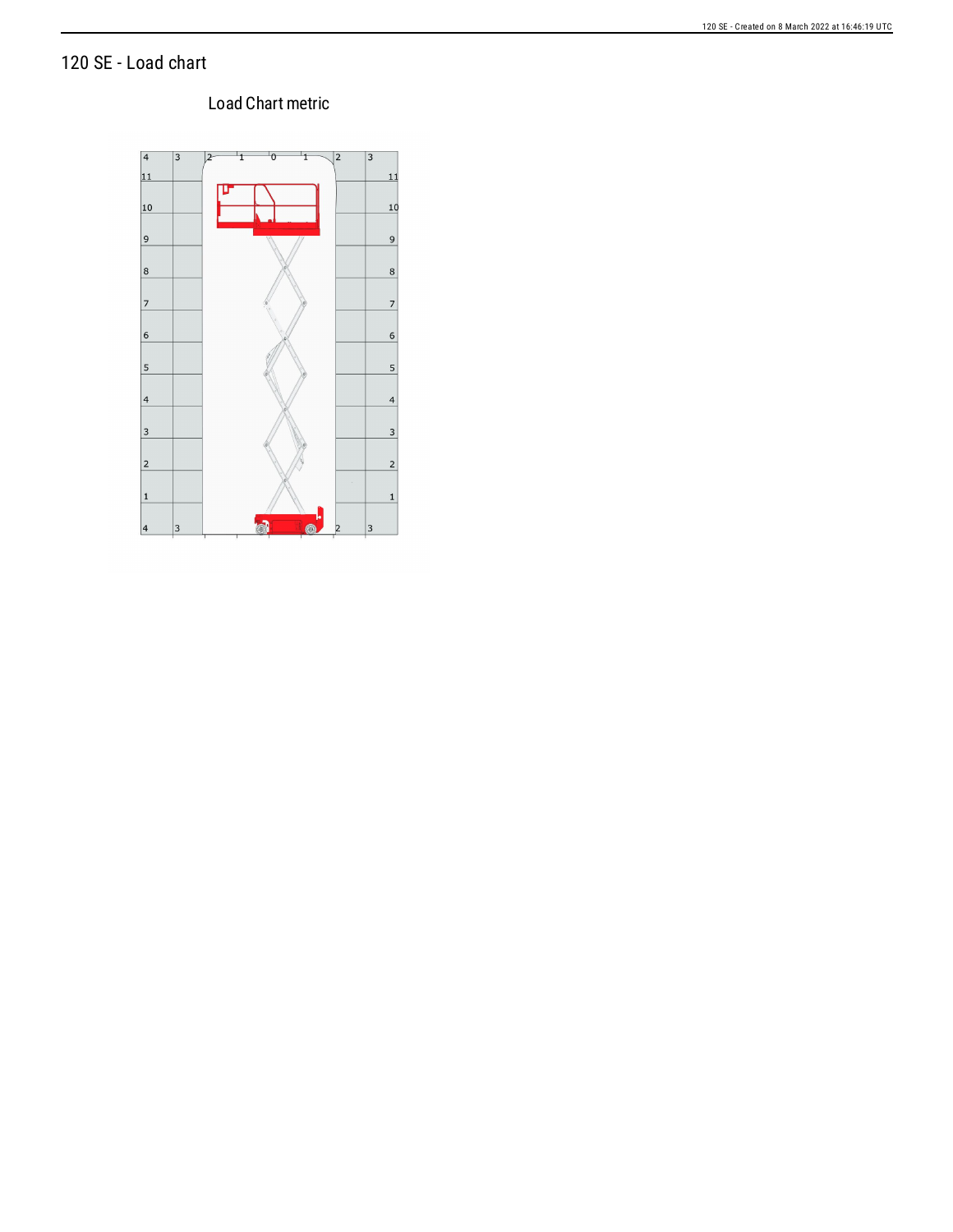### 120 SE - Load chart

### Load Chart metric

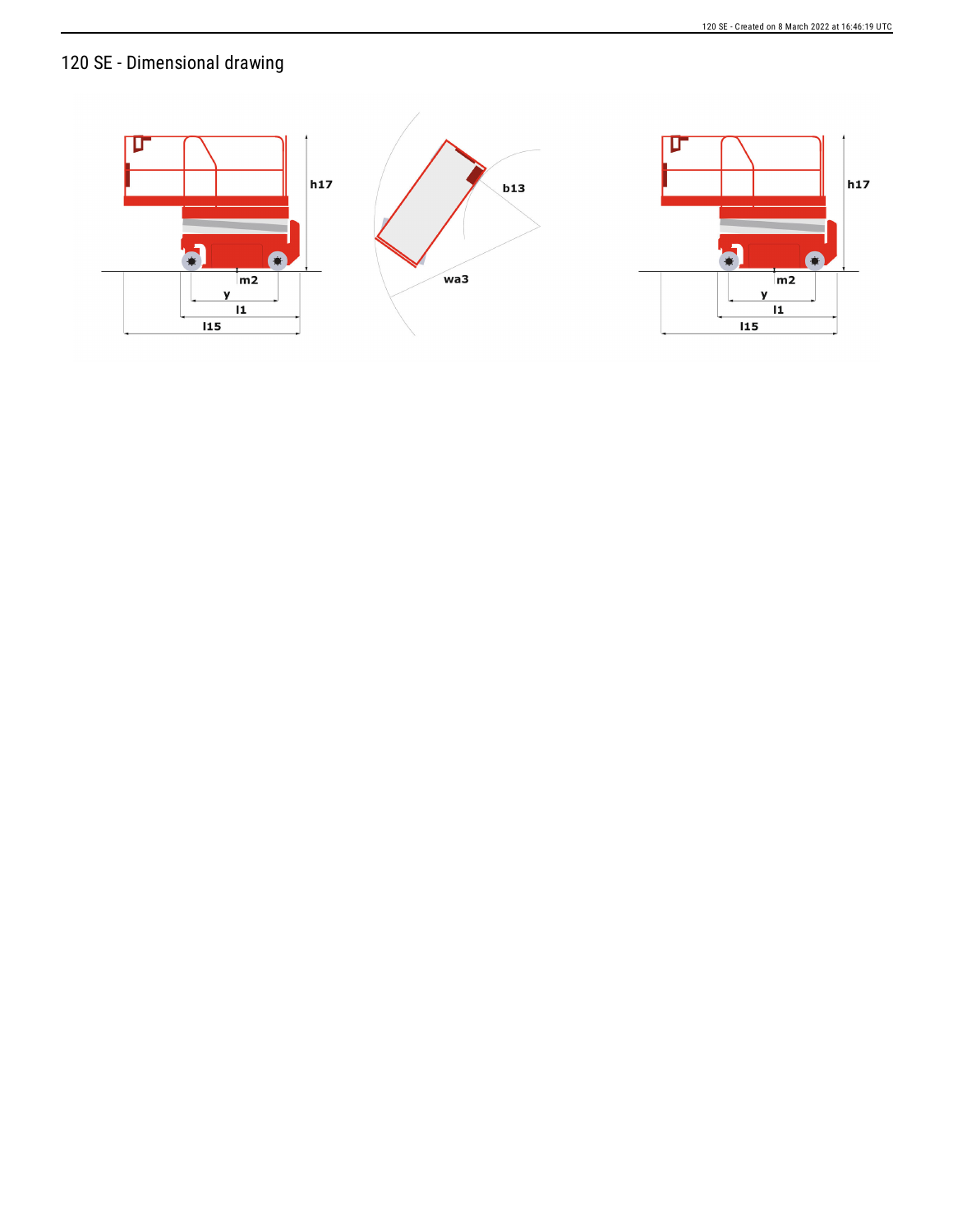# 120 SE - Dimensional drawing

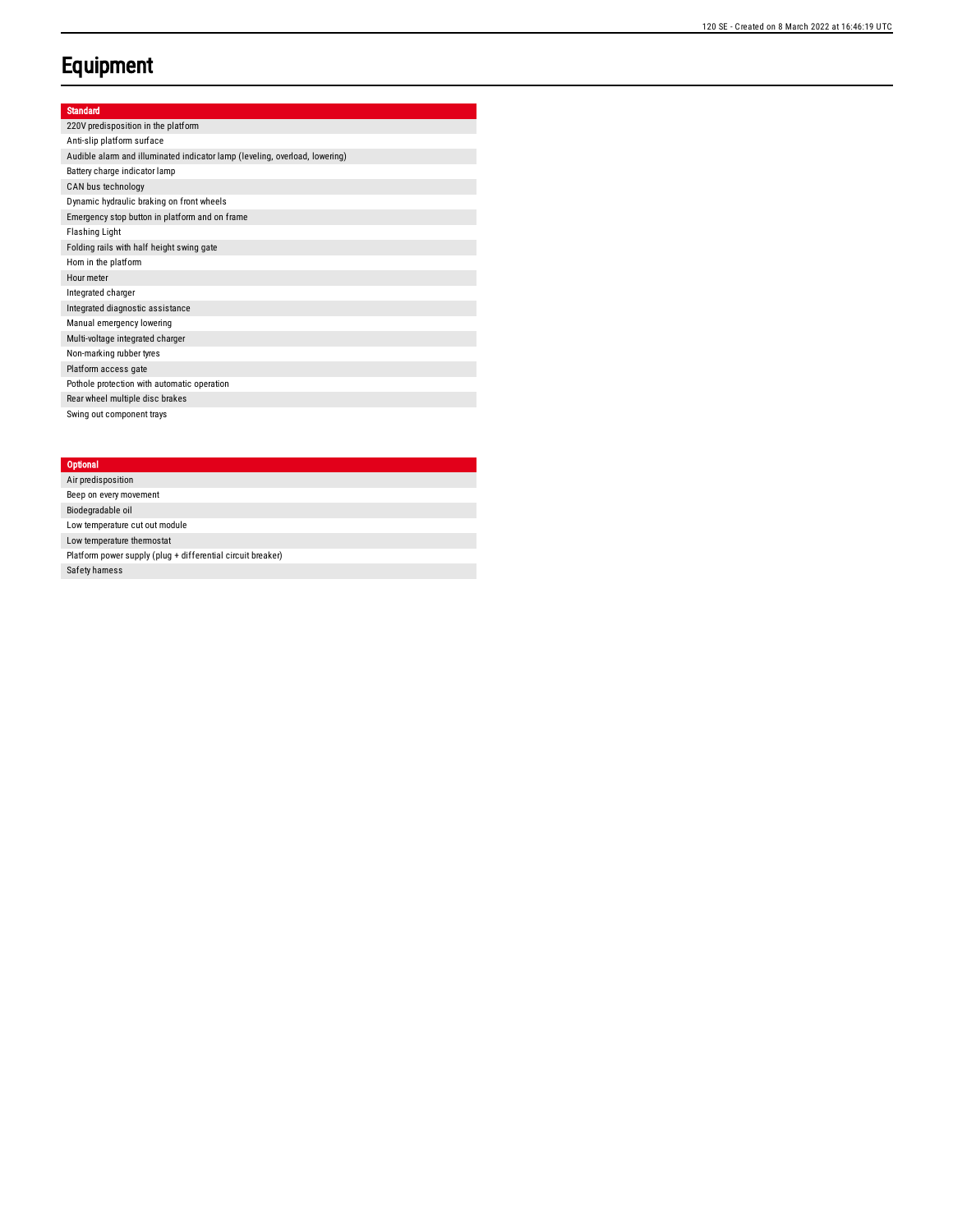## **Equipment**

#### Standard

220V predisposition in the platform Anti-slip platform surface Audible alarm and illuminated indicator lamp (leveling, overload, lowering) Battery charge indicator lamp CAN bus technology Dynamic hydraulic braking on front wheels Emergency stop button in platform and on frame Fla s hin g Lig h t Folding rails with half height swing gate Hom in the platform Hour meter Integrated charger Integrated diagnostic assistance Manual emergency lowering Multi-voltage integrated charger Non-marking rubber tyres Platform access gate Pothole protection with automatic operation Rear wheel multiple disc brakes Swing out component trays

#### **Optional**

Air predis p o sitio n Beep on every movement Biodegradable oil Low temperature cut out module Low temperature thermostat Platform power supply (plug + differential circuit breaker) Safety hamess